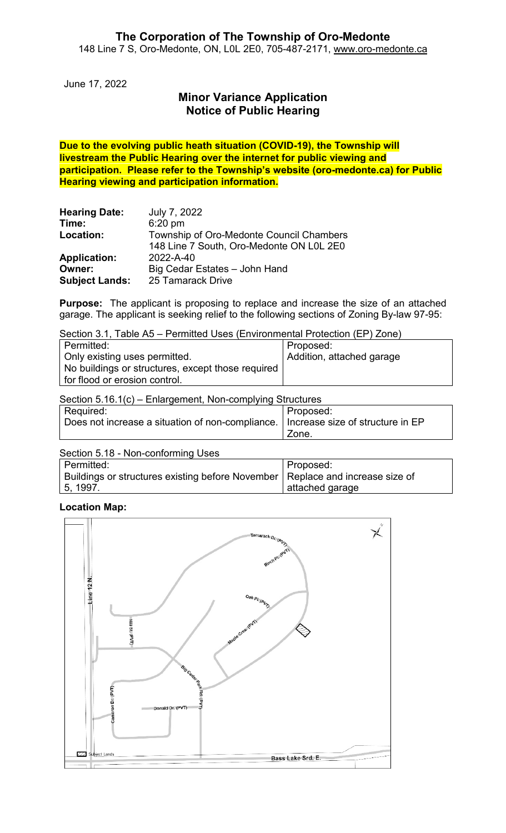June 17, 2022

# **Minor Variance Application Notice of Public Hearing**

**Due to the evolving public heath situation (COVID-19), the Township will livestream the Public Hearing over the internet for public viewing and participation. Please refer to the Township's website (oro-medonte.ca) for Public Hearing viewing and participation information.**

| <b>Hearing Date:</b>  | July 7, 2022                             |
|-----------------------|------------------------------------------|
| Time:                 | $6:20$ pm                                |
| Location:             | Township of Oro-Medonte Council Chambers |
|                       | 148 Line 7 South, Oro-Medonte ON L0L 2E0 |
| <b>Application:</b>   | 2022-A-40                                |
| Owner:                | Big Cedar Estates - John Hand            |
| <b>Subject Lands:</b> | 25 Tamarack Drive                        |

**Purpose:** The applicant is proposing to replace and increase the size of an attached garage. The applicant is seeking relief to the following sections of Zoning By-law 97-95:

Section 3.1, Table A5 – Permitted Uses (Environmental Protection (EP) Zone)

| Permitted:                                        | Proposed:                 |
|---------------------------------------------------|---------------------------|
| Only existing uses permitted.                     | Addition, attached garage |
| No buildings or structures, except those required |                           |
| for flood or erosion control.                     |                           |

| Section 5.16.1(c) – Enlargement, Non-complying Structures                           |           |  |
|-------------------------------------------------------------------------------------|-----------|--|
| Required:                                                                           | Proposed: |  |
| Does not increase a situation of non-compliance.   Increase size of structure in EP |           |  |
|                                                                                     | Zone.     |  |

| Section 5.18 - Non-conforming Uses                                                           |                 |
|----------------------------------------------------------------------------------------------|-----------------|
| Permitted:                                                                                   | Proposed:       |
| <sup>ι</sup> Buildings or structures existing before November   Replace and increase size of |                 |
| 5, 1997                                                                                      | attached garage |

## **Location Map:**

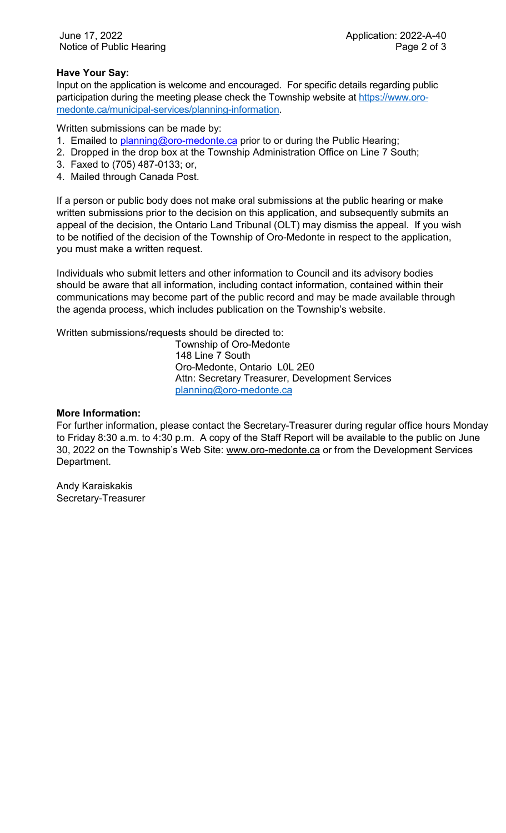## **Have Your Say:**

Input on the application is welcome and encouraged. For specific details regarding public participation during the meeting please check the Township website at [https://www.oro](https://www.oro-medonte.ca/municipal-services/planning-information)[medonte.ca/municipal-services/planning-information.](https://www.oro-medonte.ca/municipal-services/planning-information)

Written submissions can be made by:

- 1. Emailed to **planning@oro-medonte.ca** prior to or during the Public Hearing;
- 2. Dropped in the drop box at the Township Administration Office on Line 7 South;
- 3. Faxed to (705) 487-0133; or,
- 4. Mailed through Canada Post.

If a person or public body does not make oral submissions at the public hearing or make written submissions prior to the decision on this application, and subsequently submits an appeal of the decision, the Ontario Land Tribunal (OLT) may dismiss the appeal. If you wish to be notified of the decision of the Township of Oro-Medonte in respect to the application, you must make a written request.

Individuals who submit letters and other information to Council and its advisory bodies should be aware that all information, including contact information, contained within their communications may become part of the public record and may be made available through the agenda process, which includes publication on the Township's website.

Written submissions/requests should be directed to:

Township of Oro-Medonte 148 Line 7 South Oro-Medonte, Ontario L0L 2E0 Attn: Secretary Treasurer, Development Services [planning@oro-medonte.ca](mailto:planning@oro-medonte.ca)

#### **More Information:**

For further information, please contact the Secretary-Treasurer during regular office hours Monday to Friday 8:30 a.m. to 4:30 p.m. A copy of the Staff Report will be available to the public on June 30, 2022 on the Township's Web Site: [www.oro-medonte.ca](http://www.oro-medonte.ca/) or from the Development Services Department.

Andy Karaiskakis Secretary-Treasurer